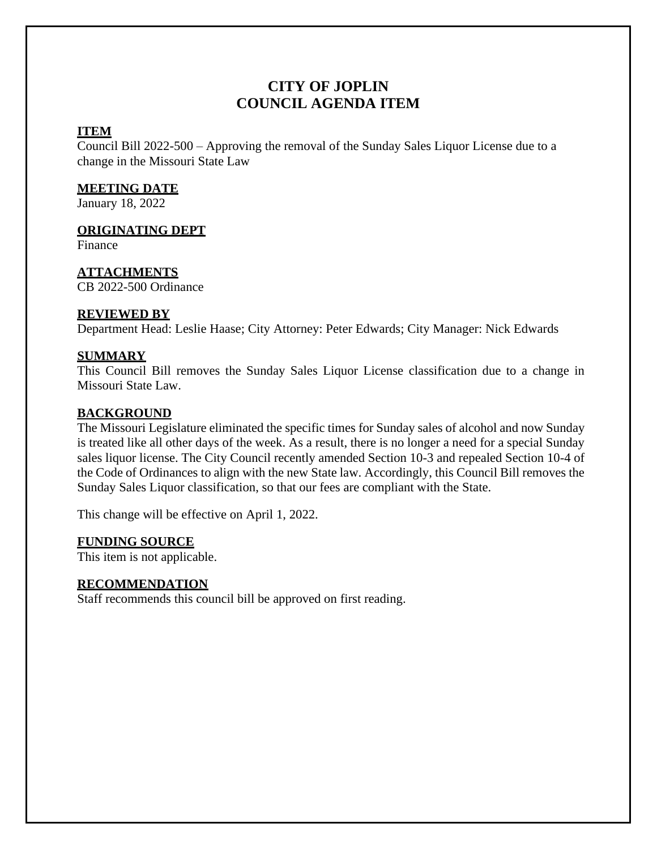# **CITY OF JOPLIN COUNCIL AGENDA ITEM**

### **ITEM**

Council Bill 2022-500 – Approving the removal of the Sunday Sales Liquor License due to a change in the Missouri State Law

## **MEETING DATE**

January 18, 2022

### **ORIGINATING DEPT**

Finance

### **ATTACHMENTS**

CB 2022-500 Ordinance

### **REVIEWED BY**

Department Head: Leslie Haase; City Attorney: Peter Edwards; City Manager: Nick Edwards

### **SUMMARY**

This Council Bill removes the Sunday Sales Liquor License classification due to a change in Missouri State Law.

### **BACKGROUND**

The Missouri Legislature eliminated the specific times for Sunday sales of alcohol and now Sunday is treated like all other days of the week. As a result, there is no longer a need for a special Sunday sales liquor license. The City Council recently amended Section 10-3 and repealed Section 10-4 of the Code of Ordinances to align with the new State law. Accordingly, this Council Bill removes the Sunday Sales Liquor classification, so that our fees are compliant with the State.

This change will be effective on April 1, 2022.

#### **FUNDING SOURCE**

This item is not applicable.

# **RECOMMENDATION**

Staff recommends this council bill be approved on first reading.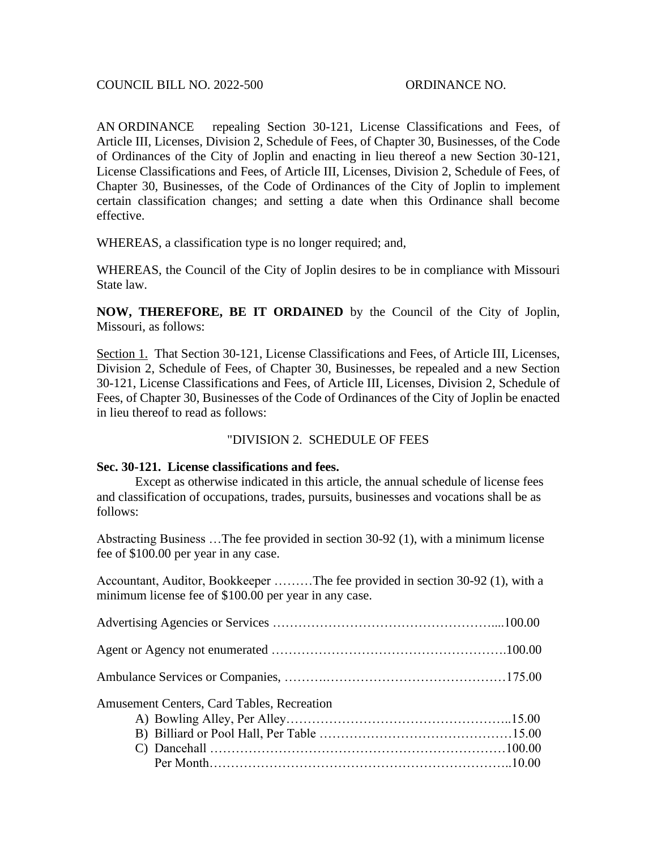AN ORDINANCE repealing Section 30-121, License Classifications and Fees, of Article III, Licenses, Division 2, Schedule of Fees, of Chapter 30, Businesses, of the Code of Ordinances of the City of Joplin and enacting in lieu thereof a new Section 30-121, License Classifications and Fees, of Article III, Licenses, Division 2, Schedule of Fees, of Chapter 30, Businesses, of the Code of Ordinances of the City of Joplin to implement certain classification changes; and setting a date when this Ordinance shall become effective.

WHEREAS, a classification type is no longer required; and,

WHEREAS, the Council of the City of Joplin desires to be in compliance with Missouri State law.

**NOW, THEREFORE, BE IT ORDAINED** by the Council of the City of Joplin, Missouri, as follows:

Section 1. That Section 30-121, License Classifications and Fees, of Article III, Licenses, Division 2, Schedule of Fees, of Chapter 30, Businesses, be repealed and a new Section 30-121, License Classifications and Fees, of Article III, Licenses, Division 2, Schedule of Fees, of Chapter 30, Businesses of the Code of Ordinances of the City of Joplin be enacted in lieu thereof to read as follows:

#### "DIVISION 2. SCHEDULE OF FEES

#### **Sec. 30-121. License classifications and fees.**

Except as otherwise indicated in this article, the annual schedule of license fees and classification of occupations, trades, pursuits, businesses and vocations shall be as follows:

Abstracting Business …The fee provided in section 30-92 (1), with a minimum license fee of \$100.00 per year in any case.

Accountant, Auditor, Bookkeeper ………The fee provided in section 30-92 (1), with a minimum license fee of \$100.00 per year in any case.

| Amusement Centers, Card Tables, Recreation |  |
|--------------------------------------------|--|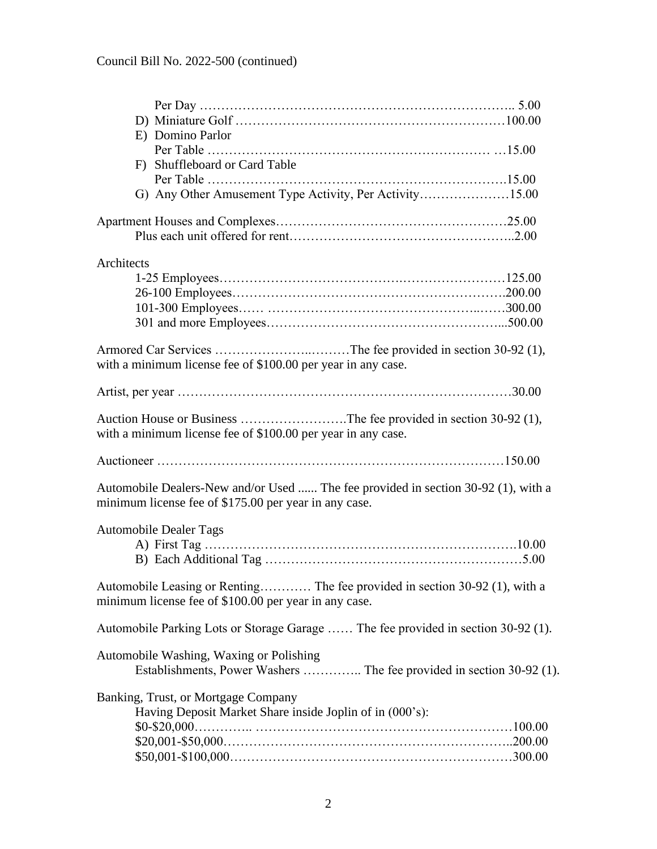|            | E) Domino Parlor                                                                  |  |
|------------|-----------------------------------------------------------------------------------|--|
|            |                                                                                   |  |
|            | F) Shuffleboard or Card Table                                                     |  |
|            |                                                                                   |  |
|            | G) Any Other Amusement Type Activity, Per Activity15.00                           |  |
|            |                                                                                   |  |
|            |                                                                                   |  |
|            |                                                                                   |  |
| Architects |                                                                                   |  |
|            |                                                                                   |  |
|            |                                                                                   |  |
|            |                                                                                   |  |
|            |                                                                                   |  |
|            |                                                                                   |  |
|            | with a minimum license fee of \$100.00 per year in any case.                      |  |
|            |                                                                                   |  |
|            |                                                                                   |  |
|            |                                                                                   |  |
|            | Auction House or Business The fee provided in section 30-92 (1),                  |  |
|            | with a minimum license fee of \$100.00 per year in any case.                      |  |
|            |                                                                                   |  |
|            |                                                                                   |  |
|            | Automobile Dealers-New and/or Used  The fee provided in section 30-92 (1), with a |  |
|            | minimum license fee of \$175.00 per year in any case.                             |  |
|            |                                                                                   |  |
|            | <b>Automobile Dealer Tags</b>                                                     |  |
|            |                                                                                   |  |
|            |                                                                                   |  |
|            | Automobile Leasing or Renting The fee provided in section 30-92 (1), with a       |  |
|            | minimum license fee of \$100.00 per year in any case.                             |  |
|            |                                                                                   |  |
|            | Automobile Parking Lots or Storage Garage  The fee provided in section 30-92 (1). |  |
|            |                                                                                   |  |
|            | Automobile Washing, Waxing or Polishing                                           |  |
|            | Establishments, Power Washers  The fee provided in section 30-92 (1).             |  |
|            | Banking, Trust, or Mortgage Company                                               |  |
|            | Having Deposit Market Share inside Joplin of in (000's):                          |  |
|            |                                                                                   |  |
|            |                                                                                   |  |
|            |                                                                                   |  |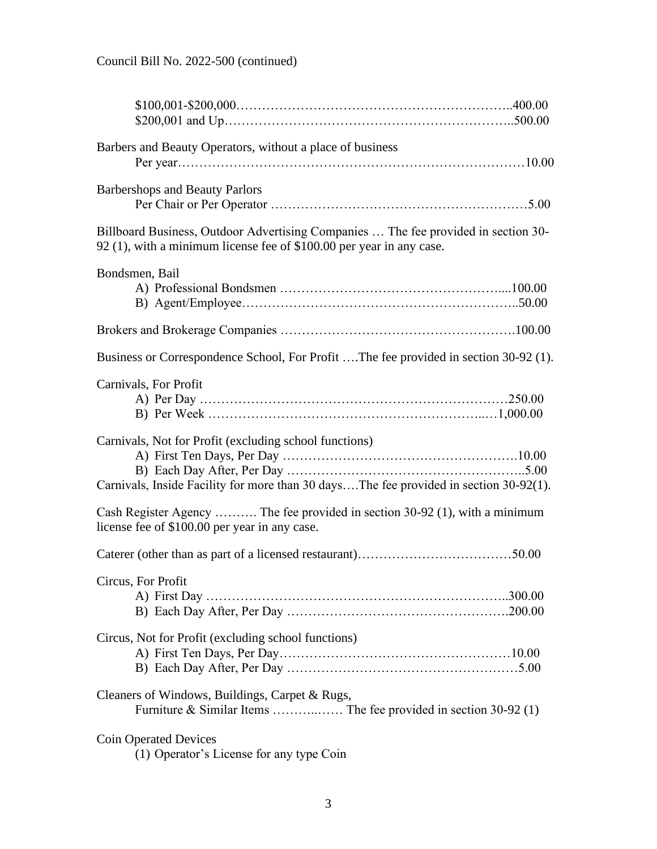| Barbers and Beauty Operators, without a place of business                                                                                                  |  |
|------------------------------------------------------------------------------------------------------------------------------------------------------------|--|
| <b>Barbershops and Beauty Parlors</b>                                                                                                                      |  |
| Billboard Business, Outdoor Advertising Companies  The fee provided in section 30-<br>92 (1), with a minimum license fee of \$100.00 per year in any case. |  |
| Bondsmen, Bail                                                                                                                                             |  |
|                                                                                                                                                            |  |
| Business or Correspondence School, For Profit The fee provided in section 30-92 (1).                                                                       |  |
| Carnivals, For Profit                                                                                                                                      |  |
| Carnivals, Not for Profit (excluding school functions)<br>Carnivals, Inside Facility for more than 30 daysThe fee provided in section 30-92(1).            |  |
| Cash Register Agency  The fee provided in section 30-92 (1), with a minimum<br>license fee of \$100.00 per year in any case.                               |  |
|                                                                                                                                                            |  |
| Circus, For Profit                                                                                                                                         |  |
| Circus, Not for Profit (excluding school functions)                                                                                                        |  |
| Cleaners of Windows, Buildings, Carpet & Rugs,                                                                                                             |  |
| <b>Coin Operated Devices</b><br>(1) Operator's License for any type Coin                                                                                   |  |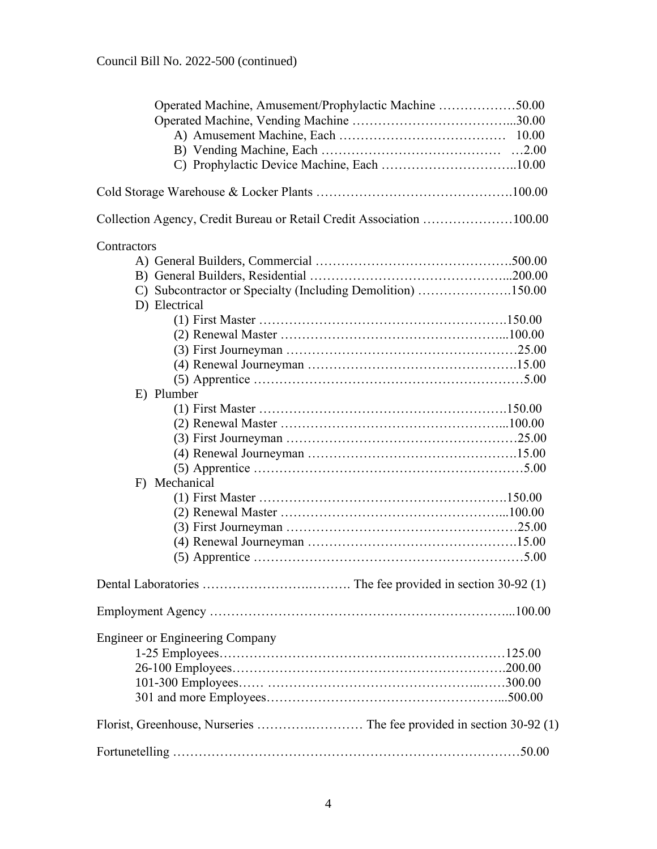| Operated Machine, Amusement/Prophylactic Machine 50.00               |  |
|----------------------------------------------------------------------|--|
|                                                                      |  |
|                                                                      |  |
|                                                                      |  |
|                                                                      |  |
|                                                                      |  |
| Collection Agency, Credit Bureau or Retail Credit Association 100.00 |  |
| Contractors                                                          |  |
|                                                                      |  |
|                                                                      |  |
| C) Subcontractor or Specialty (Including Demolition) 150.00          |  |
| D) Electrical                                                        |  |
|                                                                      |  |
|                                                                      |  |
|                                                                      |  |
|                                                                      |  |
|                                                                      |  |
| E) Plumber                                                           |  |
|                                                                      |  |
|                                                                      |  |
|                                                                      |  |
|                                                                      |  |
|                                                                      |  |
| F) Mechanical                                                        |  |
|                                                                      |  |
|                                                                      |  |
|                                                                      |  |
|                                                                      |  |
|                                                                      |  |
|                                                                      |  |
|                                                                      |  |
| <b>Engineer or Engineering Company</b>                               |  |
|                                                                      |  |
|                                                                      |  |
|                                                                      |  |
|                                                                      |  |
|                                                                      |  |
|                                                                      |  |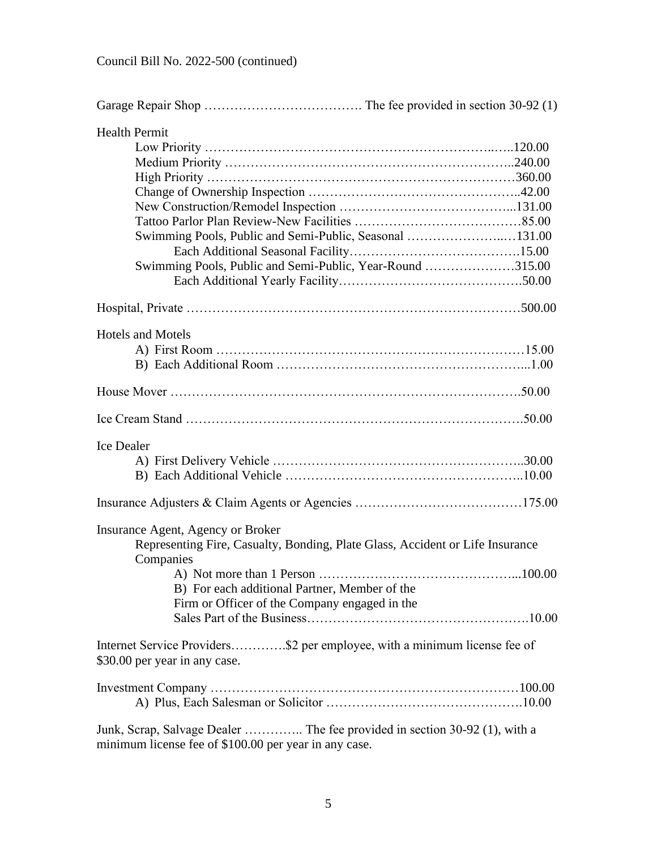| <b>Health Permit</b><br>Swimming Pools, Public and Semi-Public, Seasonal 131.00<br>Swimming Pools, Public and Semi-Public, Year-Round 315.00                                                                                      |  |
|-----------------------------------------------------------------------------------------------------------------------------------------------------------------------------------------------------------------------------------|--|
|                                                                                                                                                                                                                                   |  |
| <b>Hotels and Motels</b>                                                                                                                                                                                                          |  |
|                                                                                                                                                                                                                                   |  |
|                                                                                                                                                                                                                                   |  |
| Ice Dealer                                                                                                                                                                                                                        |  |
|                                                                                                                                                                                                                                   |  |
| Insurance Agent, Agency or Broker<br>Representing Fire, Casualty, Bonding, Plate Glass, Accident or Life Insurance<br>Companies<br>B) For each additional Partner, Member of the<br>Firm or Officer of the Company engaged in the |  |
| Internet Service Providers\$2 per employee, with a minimum license fee of<br>\$30.00 per year in any case.                                                                                                                        |  |
|                                                                                                                                                                                                                                   |  |
| Junk, Scrap, Salvage Dealer  The fee provided in section 30-92 (1), with a<br>minimum license fee of \$100.00 per year in any case.                                                                                               |  |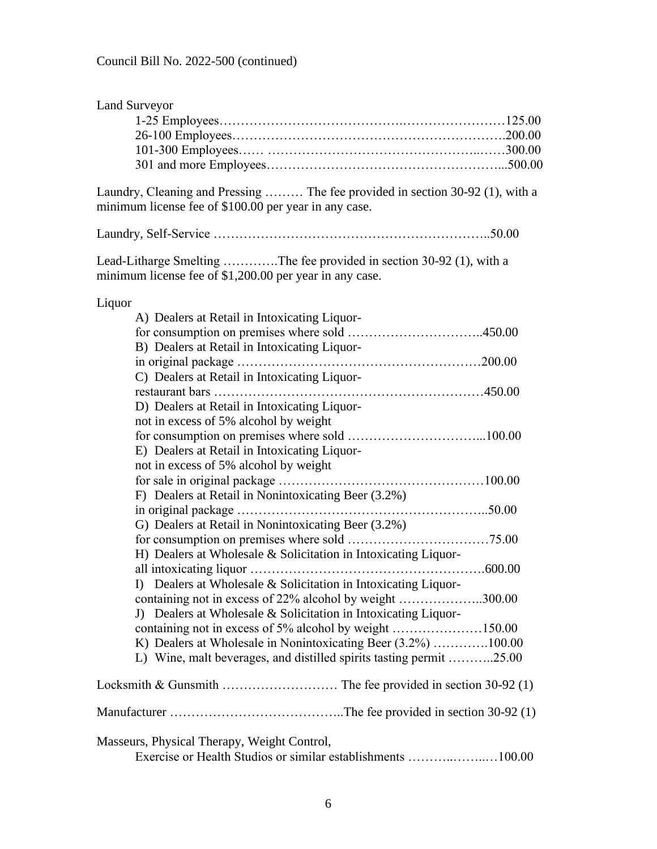| <b>Land Surveyor</b>                                                                                                                   |
|----------------------------------------------------------------------------------------------------------------------------------------|
|                                                                                                                                        |
|                                                                                                                                        |
|                                                                                                                                        |
|                                                                                                                                        |
|                                                                                                                                        |
| Laundry, Cleaning and Pressing  The fee provided in section 30-92 (1), with a<br>minimum license fee of \$100.00 per year in any case. |
|                                                                                                                                        |
| Lead-Litharge Smelting The fee provided in section 30-92 (1), with a<br>minimum license fee of \$1,200.00 per year in any case.        |
| Liquor                                                                                                                                 |
| A) Dealers at Retail in Intoxicating Liquor-                                                                                           |
|                                                                                                                                        |
| B) Dealers at Retail in Intoxicating Liquor-                                                                                           |
|                                                                                                                                        |
| C) Dealers at Retail in Intoxicating Liquor-                                                                                           |
|                                                                                                                                        |
| D) Dealers at Retail in Intoxicating Liquor-                                                                                           |
| not in excess of 5% alcohol by weight                                                                                                  |
|                                                                                                                                        |
| E) Dealers at Retail in Intoxicating Liquor-                                                                                           |
| not in excess of 5% alcohol by weight                                                                                                  |
|                                                                                                                                        |
| F) Dealers at Retail in Nonintoxicating Beer (3.2%)                                                                                    |
|                                                                                                                                        |
| G) Dealers at Retail in Nonintoxicating Beer (3.2%)                                                                                    |
|                                                                                                                                        |
| H) Dealers at Wholesale & Solicitation in Intoxicating Liquor-                                                                         |
|                                                                                                                                        |
| I) Dealers at Wholesale & Solicitation in Intoxicating Liquor-                                                                         |
| containing not in excess of 22% alcohol by weight 300.00                                                                               |
| J) Dealers at Wholesale & Solicitation in Intoxicating Liquor-                                                                         |
|                                                                                                                                        |
| K) Dealers at Wholesale in Nonintoxicating Beer (3.2%) 100.00                                                                          |
| L) Wine, malt beverages, and distilled spirits tasting permit 25.00                                                                    |
|                                                                                                                                        |
|                                                                                                                                        |
|                                                                                                                                        |
| Masseurs, Physical Therapy, Weight Control,                                                                                            |
| Exercise or Health Studios or similar establishments 100.00                                                                            |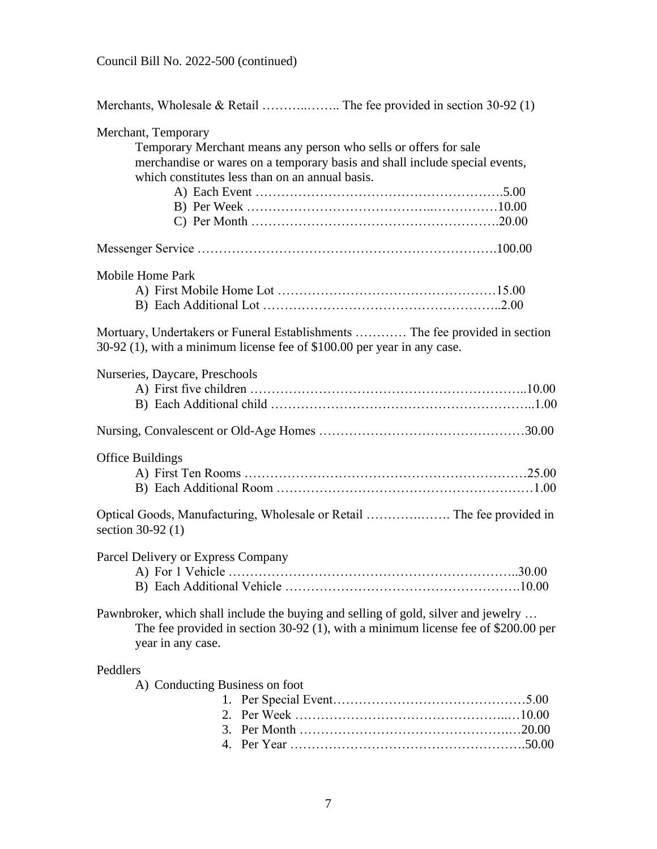| Merchant, Temporary                        | Temporary Merchant means any person who sells or offers for sale<br>merchandise or wares on a temporary basis and shall include special events,<br>which constitutes less than on an annual basis. |  |
|--------------------------------------------|----------------------------------------------------------------------------------------------------------------------------------------------------------------------------------------------------|--|
|                                            |                                                                                                                                                                                                    |  |
| <b>Mobile Home Park</b>                    |                                                                                                                                                                                                    |  |
|                                            | Mortuary, Undertakers or Funeral Establishments  The fee provided in section<br>30-92 (1), with a minimum license fee of \$100.00 per year in any case.                                            |  |
| Nurseries, Daycare, Preschools             |                                                                                                                                                                                                    |  |
|                                            |                                                                                                                                                                                                    |  |
| <b>Office Buildings</b>                    |                                                                                                                                                                                                    |  |
| section 30-92 (1)                          |                                                                                                                                                                                                    |  |
| Parcel Delivery or Express Company         |                                                                                                                                                                                                    |  |
| year in any case.                          | Pawnbroker, which shall include the buying and selling of gold, silver and jewelry<br>The fee provided in section $30-92$ (1), with a minimum license fee of \$200.00 per                          |  |
| Peddlers<br>A) Conducting Business on foot |                                                                                                                                                                                                    |  |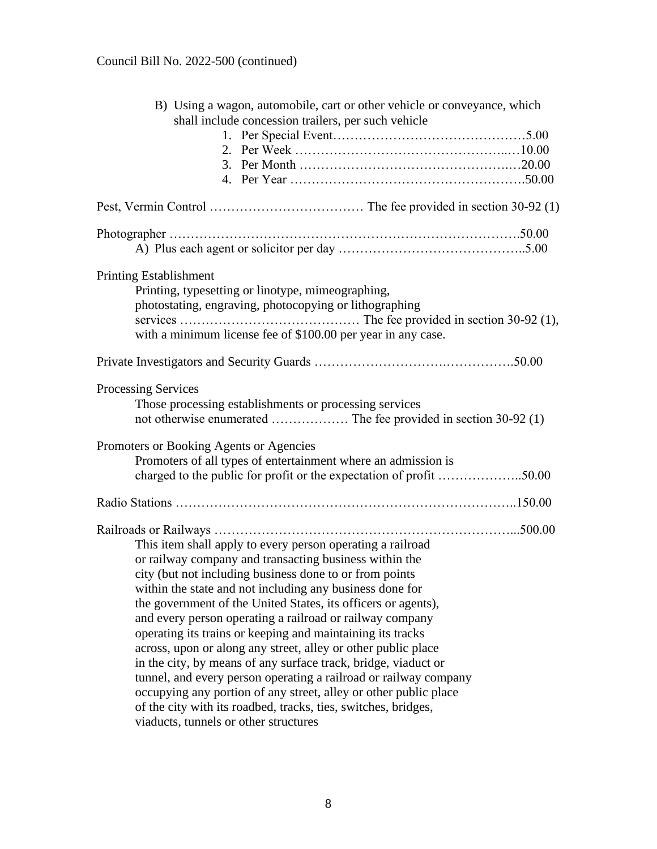| B) Using a wagon, automobile, cart or other vehicle or conveyance, which<br>shall include concession trailers, per such vehicle      |  |
|--------------------------------------------------------------------------------------------------------------------------------------|--|
|                                                                                                                                      |  |
|                                                                                                                                      |  |
|                                                                                                                                      |  |
|                                                                                                                                      |  |
|                                                                                                                                      |  |
|                                                                                                                                      |  |
| <b>Printing Establishment</b>                                                                                                        |  |
| Printing, typesetting or linotype, mimeographing,                                                                                    |  |
| photostating, engraving, photocopying or lithographing                                                                               |  |
| with a minimum license fee of \$100.00 per year in any case.                                                                         |  |
|                                                                                                                                      |  |
| <b>Processing Services</b>                                                                                                           |  |
| Those processing establishments or processing services                                                                               |  |
|                                                                                                                                      |  |
| Promoters or Booking Agents or Agencies                                                                                              |  |
| Promoters of all types of entertainment where an admission is                                                                        |  |
| charged to the public for profit or the expectation of profit 50.00                                                                  |  |
|                                                                                                                                      |  |
|                                                                                                                                      |  |
| This item shall apply to every person operating a railroad                                                                           |  |
| or railway company and transacting business within the                                                                               |  |
| city (but not including business done to or from points                                                                              |  |
| within the state and not including any business done for                                                                             |  |
| the government of the United States, its officers or agents),                                                                        |  |
| and every person operating a railroad or railway company                                                                             |  |
| operating its trains or keeping and maintaining its tracks                                                                           |  |
| across, upon or along any street, alley or other public place                                                                        |  |
| in the city, by means of any surface track, bridge, viaduct or                                                                       |  |
| tunnel, and every person operating a railroad or railway company<br>occupying any portion of any street, alley or other public place |  |
| of the city with its roadbed, tracks, ties, switches, bridges,                                                                       |  |
| viaducts, tunnels or other structures                                                                                                |  |
|                                                                                                                                      |  |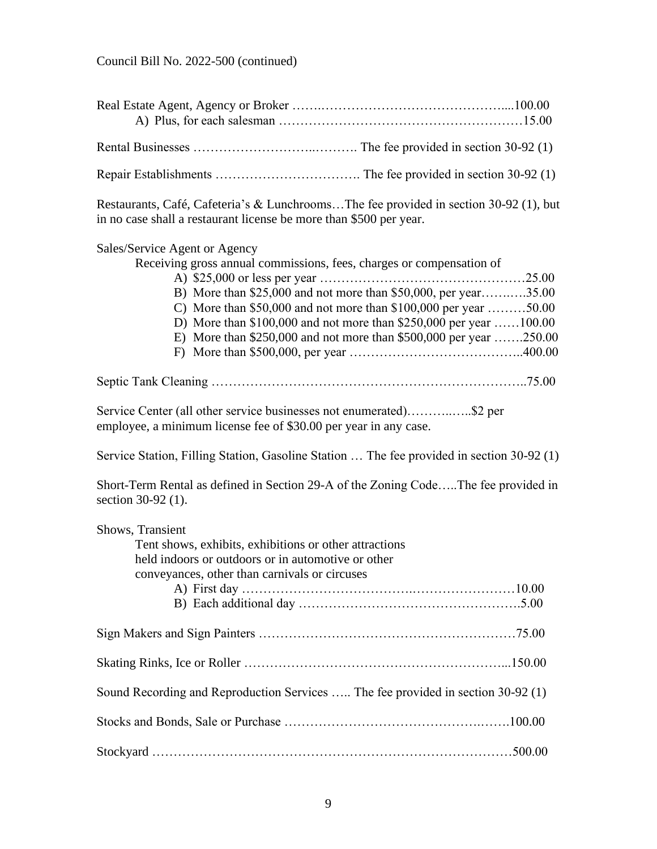Restaurants, Café, Cafeteria's & Lunchrooms…The fee provided in section 30-92 (1), but in no case shall a restaurant license be more than \$500 per year.

# Sales/Service Agent or Agency Receiving gross annual commissions, fees, charges or compensation of A) \$25,000 or less per year …………………………………………25.00 B) More than \$25,000 and not more than \$50,000, per year…….….35.00 C) More than \$50,000 and not more than \$100,000 per year ………50.00 D) More than \$100,000 and not more than \$250,000 per year ……100.00 E) More than \$250,000 and not more than \$500,000 per year …….250.00 F) More than \$500,000, per year …………………………………..400.00 Septic Tank Cleaning ………………………………………………………………..75.00 Service Center (all other service businesses not enumerated)………..…..\$2 per employee, a minimum license fee of \$30.00 per year in any case. Service Station, Filling Station, Gasoline Station … The fee provided in section 30-92 (1) Short-Term Rental as defined in Section 29-A of the Zoning Code…..The fee provided in section 30-92 (1). Shows, Transient Tent shows, exhibits, exhibitions or other attractions held indoors or outdoors or in automotive or other conveyances, other than carnivals or circuses A) First day ………………………………….……………………10.00 B) Each additional day …………………………………………….5.00 Sign Makers and Sign Painters ……………………………………………………75.00 Skating Rinks, Ice or Roller ……………………………………………………...150.00 Sound Recording and Reproduction Services ….. The fee provided in section 30-92 (1) Stocks and Bonds, Sale or Purchase ……………………………………….…….100.00 Stockyard …………………………………………………………………………500.00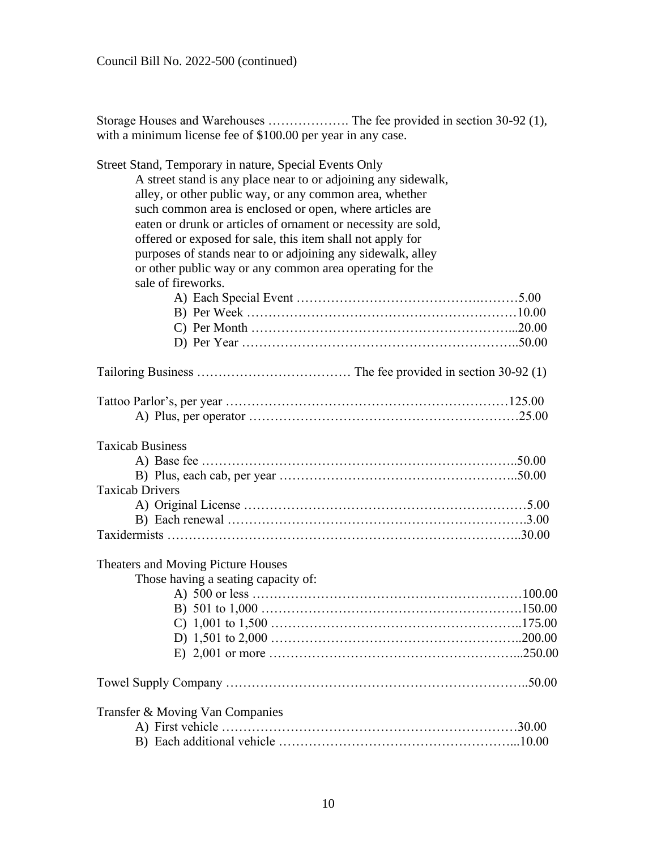| with a minimum license fee of \$100.00 per year in any case.                                                                                                                                                                                                                                                                                                                                                                                                                                                                    |
|---------------------------------------------------------------------------------------------------------------------------------------------------------------------------------------------------------------------------------------------------------------------------------------------------------------------------------------------------------------------------------------------------------------------------------------------------------------------------------------------------------------------------------|
| Street Stand, Temporary in nature, Special Events Only<br>A street stand is any place near to or adjoining any sidewalk,<br>alley, or other public way, or any common area, whether<br>such common area is enclosed or open, where articles are<br>eaten or drunk or articles of ornament or necessity are sold,<br>offered or exposed for sale, this item shall not apply for<br>purposes of stands near to or adjoining any sidewalk, alley<br>or other public way or any common area operating for the<br>sale of fireworks. |
|                                                                                                                                                                                                                                                                                                                                                                                                                                                                                                                                 |
|                                                                                                                                                                                                                                                                                                                                                                                                                                                                                                                                 |
| <b>Taxicab Business</b><br><b>Taxicab Drivers</b>                                                                                                                                                                                                                                                                                                                                                                                                                                                                               |
| <b>Theaters and Moving Picture Houses</b><br>Those having a seating capacity of:                                                                                                                                                                                                                                                                                                                                                                                                                                                |
|                                                                                                                                                                                                                                                                                                                                                                                                                                                                                                                                 |
| Transfer & Moving Van Companies                                                                                                                                                                                                                                                                                                                                                                                                                                                                                                 |

Storage Houses and Warehouses ………………. The fee provided in section 30-92 (1), with a minimum license fee of \$100.00 per year in any case.